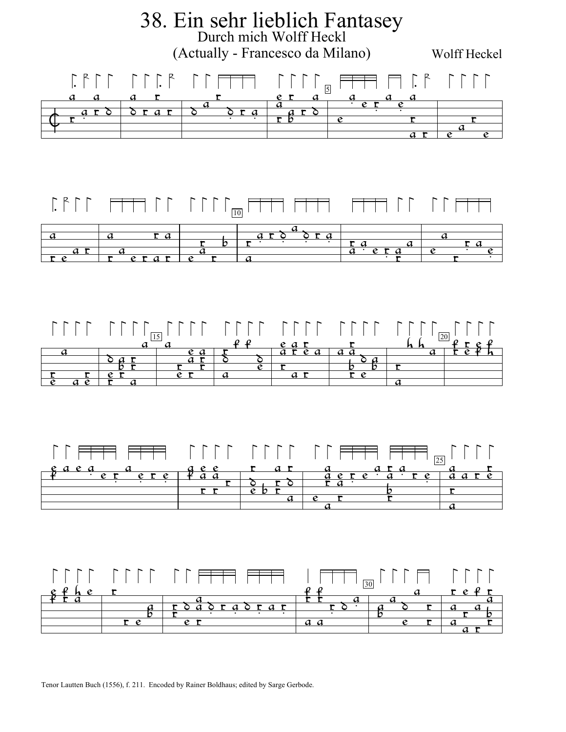

Tenor Lautten Buch (1556), f. 211. Encoded by Rainer Boldhaus; edited by Sarge Gerbode.